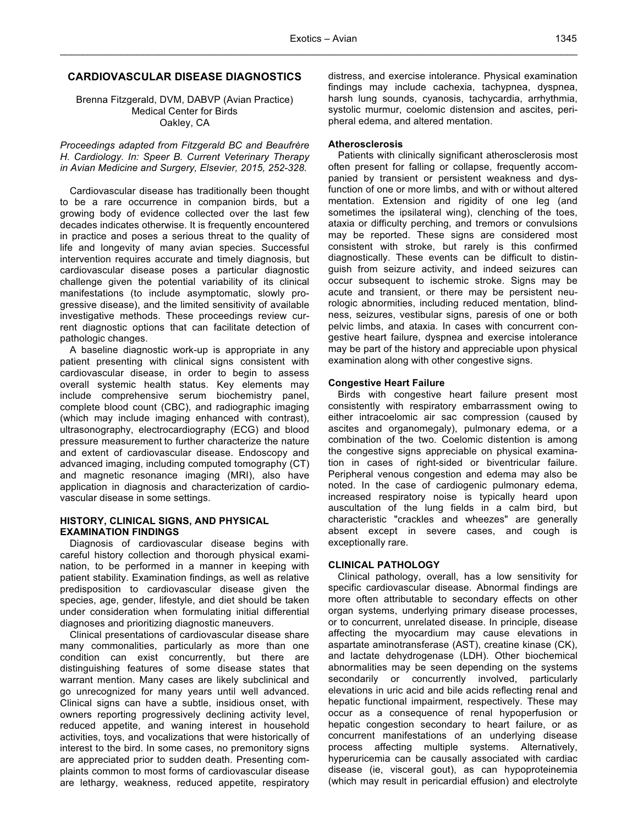# **CARDIOVASCULAR DISEASE DIAGNOSTICS**

Brenna Fitzgerald, DVM, DABVP (Avian Practice) Medical Center for Birds Oakley, CA

*Proceedings adapted from Fitzgerald BC and Beaufrère H. Cardiology. In: Speer B. Current Veterinary Therapy in Avian Medicine and Surgery, Elsevier, 2015, 252-328.*

Cardiovascular disease has traditionally been thought to be a rare occurrence in companion birds, but a growing body of evidence collected over the last few decades indicates otherwise. It is frequently encountered in practice and poses a serious threat to the quality of life and longevity of many avian species. Successful intervention requires accurate and timely diagnosis, but cardiovascular disease poses a particular diagnostic challenge given the potential variability of its clinical manifestations (to include asymptomatic, slowly progressive disease), and the limited sensitivity of available investigative methods. These proceedings review current diagnostic options that can facilitate detection of pathologic changes.

A baseline diagnostic work-up is appropriate in any patient presenting with clinical signs consistent with cardiovascular disease, in order to begin to assess overall systemic health status. Key elements may include comprehensive serum biochemistry panel, complete blood count (CBC), and radiographic imaging (which may include imaging enhanced with contrast), ultrasonography, electrocardiography (ECG) and blood pressure measurement to further characterize the nature and extent of cardiovascular disease. Endoscopy and advanced imaging, including computed tomography (CT) and magnetic resonance imaging (MRI), also have application in diagnosis and characterization of cardiovascular disease in some settings.

#### **HISTORY, CLINICAL SIGNS, AND PHYSICAL EXAMINATION FINDINGS**

Diagnosis of cardiovascular disease begins with careful history collection and thorough physical examination, to be performed in a manner in keeping with patient stability. Examination findings, as well as relative predisposition to cardiovascular disease given the species, age, gender, lifestyle, and diet should be taken under consideration when formulating initial differential diagnoses and prioritizing diagnostic maneuvers.

Clinical presentations of cardiovascular disease share many commonalities, particularly as more than one condition can exist concurrently, but there are distinguishing features of some disease states that warrant mention. Many cases are likely subclinical and go unrecognized for many years until well advanced. Clinical signs can have a subtle, insidious onset, with owners reporting progressively declining activity level, reduced appetite, and waning interest in household activities, toys, and vocalizations that were historically of interest to the bird. In some cases, no premonitory signs are appreciated prior to sudden death. Presenting complaints common to most forms of cardiovascular disease are lethargy, weakness, reduced appetite, respiratory distress, and exercise intolerance. Physical examination findings may include cachexia, tachypnea, dyspnea, harsh lung sounds, cyanosis, tachycardia, arrhythmia, systolic murmur, coelomic distension and ascites, peripheral edema, and altered mentation.

## **Atherosclerosis**

Patients with clinically significant atherosclerosis most often present for falling or collapse, frequently accompanied by transient or persistent weakness and dysfunction of one or more limbs, and with or without altered mentation. Extension and rigidity of one leg (and sometimes the ipsilateral wing), clenching of the toes, ataxia or difficulty perching, and tremors or convulsions may be reported. These signs are considered most consistent with stroke, but rarely is this confirmed diagnostically. These events can be difficult to distinguish from seizure activity, and indeed seizures can occur subsequent to ischemic stroke. Signs may be acute and transient, or there may be persistent neurologic abnormities, including reduced mentation, blindness, seizures, vestibular signs, paresis of one or both pelvic limbs, and ataxia. In cases with concurrent congestive heart failure, dyspnea and exercise intolerance may be part of the history and appreciable upon physical examination along with other congestive signs.

## **Congestive Heart Failure**

Birds with congestive heart failure present most consistently with respiratory embarrassment owing to either intracoelomic air sac compression (caused by ascites and organomegaly), pulmonary edema, or a combination of the two. Coelomic distention is among the congestive signs appreciable on physical examination in cases of right-sided or biventricular failure. Peripheral venous congestion and edema may also be noted. In the case of cardiogenic pulmonary edema, increased respiratory noise is typically heard upon auscultation of the lung fields in a calm bird, but characteristic "crackles and wheezes" are generally absent except in severe cases, and cough is exceptionally rare.

#### **CLINICAL PATHOLOGY**

Clinical pathology, overall, has a low sensitivity for specific cardiovascular disease. Abnormal findings are more often attributable to secondary effects on other organ systems, underlying primary disease processes, or to concurrent, unrelated disease. In principle, disease affecting the myocardium may cause elevations in aspartate aminotransferase (AST), creatine kinase (CK), and lactate dehydrogenase (LDH). Other biochemical abnormalities may be seen depending on the systems secondarily or concurrently involved, particularly elevations in uric acid and bile acids reflecting renal and hepatic functional impairment, respectively. These may occur as a consequence of renal hypoperfusion or hepatic congestion secondary to heart failure, or as concurrent manifestations of an underlying disease process affecting multiple systems. Alternatively, hyperuricemia can be causally associated with cardiac disease (ie, visceral gout), as can hypoproteinemia (which may result in pericardial effusion) and electrolyte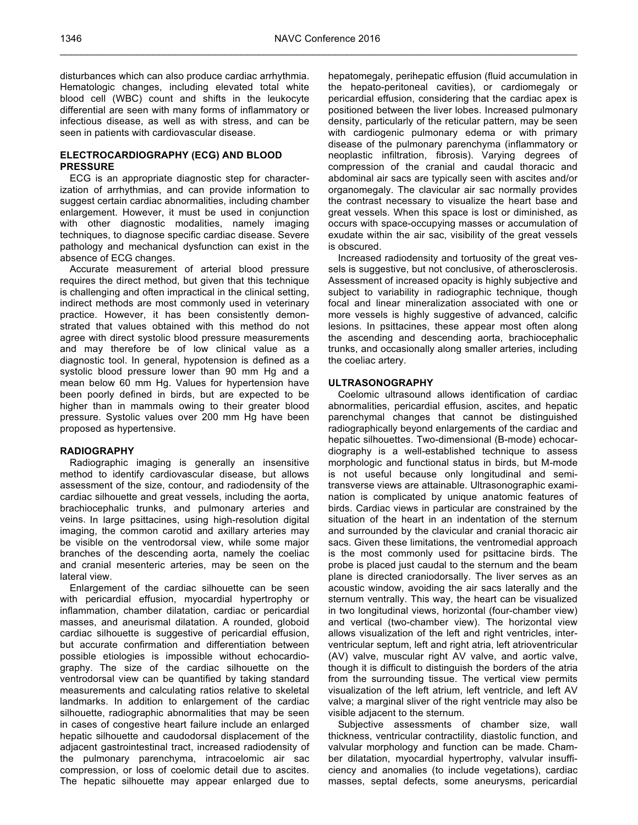$\_$  ,  $\_$  ,  $\_$  ,  $\_$  ,  $\_$  ,  $\_$  ,  $\_$  ,  $\_$  ,  $\_$  ,  $\_$  ,  $\_$  ,  $\_$  ,  $\_$  ,  $\_$  ,  $\_$  ,  $\_$  ,  $\_$  ,  $\_$  ,  $\_$  ,  $\_$  ,  $\_$  ,  $\_$  ,  $\_$  ,  $\_$  ,  $\_$  ,  $\_$  ,  $\_$  ,  $\_$  ,  $\_$  ,  $\_$  ,  $\_$  ,  $\_$  ,  $\_$  ,  $\_$  ,  $\_$  ,  $\_$  ,  $\_$  ,

disturbances which can also produce cardiac arrhythmia. Hematologic changes, including elevated total white blood cell (WBC) count and shifts in the leukocyte differential are seen with many forms of inflammatory or infectious disease, as well as with stress, and can be seen in patients with cardiovascular disease.

# **ELECTROCARDIOGRAPHY (ECG) AND BLOOD PRESSURE**

ECG is an appropriate diagnostic step for characterization of arrhythmias, and can provide information to suggest certain cardiac abnormalities, including chamber enlargement. However, it must be used in conjunction with other diagnostic modalities, namely imaging techniques, to diagnose specific cardiac disease. Severe pathology and mechanical dysfunction can exist in the absence of ECG changes.

Accurate measurement of arterial blood pressure requires the direct method, but given that this technique is challenging and often impractical in the clinical setting, indirect methods are most commonly used in veterinary practice. However, it has been consistently demonstrated that values obtained with this method do not agree with direct systolic blood pressure measurements and may therefore be of low clinical value as a diagnostic tool. In general, hypotension is defined as a systolic blood pressure lower than 90 mm Hg and a mean below 60 mm Hg. Values for hypertension have been poorly defined in birds, but are expected to be higher than in mammals owing to their greater blood pressure. Systolic values over 200 mm Hg have been proposed as hypertensive.

#### **RADIOGRAPHY**

Radiographic imaging is generally an insensitive method to identify cardiovascular disease, but allows assessment of the size, contour, and radiodensity of the cardiac silhouette and great vessels, including the aorta, brachiocephalic trunks, and pulmonary arteries and veins. In large psittacines, using high-resolution digital imaging, the common carotid and axillary arteries may be visible on the ventrodorsal view, while some major branches of the descending aorta, namely the coeliac and cranial mesenteric arteries, may be seen on the lateral view.

Enlargement of the cardiac silhouette can be seen with pericardial effusion, myocardial hypertrophy or inflammation, chamber dilatation, cardiac or pericardial masses, and aneurismal dilatation. A rounded, globoid cardiac silhouette is suggestive of pericardial effusion, but accurate confirmation and differentiation between possible etiologies is impossible without echocardiography. The size of the cardiac silhouette on the ventrodorsal view can be quantified by taking standard measurements and calculating ratios relative to skeletal landmarks. In addition to enlargement of the cardiac silhouette, radiographic abnormalities that may be seen in cases of congestive heart failure include an enlarged hepatic silhouette and caudodorsal displacement of the adjacent gastrointestinal tract, increased radiodensity of the pulmonary parenchyma, intracoelomic air sac compression, or loss of coelomic detail due to ascites. The hepatic silhouette may appear enlarged due to

hepatomegaly, perihepatic effusion (fluid accumulation in the hepato-peritoneal cavities), or cardiomegaly or pericardial effusion, considering that the cardiac apex is positioned between the liver lobes. Increased pulmonary density, particularly of the reticular pattern, may be seen with cardiogenic pulmonary edema or with primary disease of the pulmonary parenchyma (inflammatory or neoplastic infiltration, fibrosis). Varying degrees of compression of the cranial and caudal thoracic and abdominal air sacs are typically seen with ascites and/or organomegaly. The clavicular air sac normally provides the contrast necessary to visualize the heart base and great vessels. When this space is lost or diminished, as occurs with space-occupying masses or accumulation of exudate within the air sac, visibility of the great vessels is obscured.

Increased radiodensity and tortuosity of the great vessels is suggestive, but not conclusive, of atherosclerosis. Assessment of increased opacity is highly subjective and subject to variability in radiographic technique, though focal and linear mineralization associated with one or more vessels is highly suggestive of advanced, calcific lesions. In psittacines, these appear most often along the ascending and descending aorta, brachiocephalic trunks, and occasionally along smaller arteries, including the coeliac artery.

## **ULTRASONOGRAPHY**

Coelomic ultrasound allows identification of cardiac abnormalities, pericardial effusion, ascites, and hepatic parenchymal changes that cannot be distinguished radiographically beyond enlargements of the cardiac and hepatic silhouettes. Two-dimensional (B-mode) echocardiography is a well-established technique to assess morphologic and functional status in birds, but M-mode is not useful because only longitudinal and semitransverse views are attainable. Ultrasonographic examination is complicated by unique anatomic features of birds. Cardiac views in particular are constrained by the situation of the heart in an indentation of the sternum and surrounded by the clavicular and cranial thoracic air sacs. Given these limitations, the ventromedial approach is the most commonly used for psittacine birds. The probe is placed just caudal to the sternum and the beam plane is directed craniodorsally. The liver serves as an acoustic window, avoiding the air sacs laterally and the sternum ventrally. This way, the heart can be visualized in two longitudinal views, horizontal (four-chamber view) and vertical (two-chamber view). The horizontal view allows visualization of the left and right ventricles, interventricular septum, left and right atria, left atrioventricular (AV) valve, muscular right AV valve, and aortic valve, though it is difficult to distinguish the borders of the atria from the surrounding tissue. The vertical view permits visualization of the left atrium, left ventricle, and left AV valve; a marginal sliver of the right ventricle may also be visible adjacent to the sternum.

Subjective assessments of chamber size, wall thickness, ventricular contractility, diastolic function, and valvular morphology and function can be made. Chamber dilatation, myocardial hypertrophy, valvular insufficiency and anomalies (to include vegetations), cardiac masses, septal defects, some aneurysms, pericardial